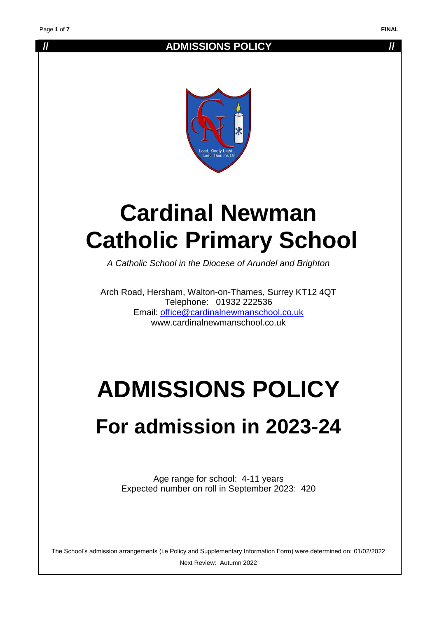### **// ADMISSIONS POLICY //**



# **Cardinal Newman Catholic Primary School**

*A Catholic School in the Diocese of Arundel and Brighton*

Arch Road, Hersham, Walton-on-Thames, Surrey KT12 4QT Telephone: 01932 222536 Email: [office@cardinalnewmanschool.co.uk](mailto:office@cardinalnewmanschool.co.uk)  www.cardinalnewmanschool.co.uk

# **ADMISSIONS POLICY**

## **For admission in 2023-24**

Age range for school: 4-11 years Expected number on roll in September 2023: 420

The School's admission arrangements (i.e Policy and Supplementary Information Form) were determined on: 01/02/2022 Next Review: Autumn 2022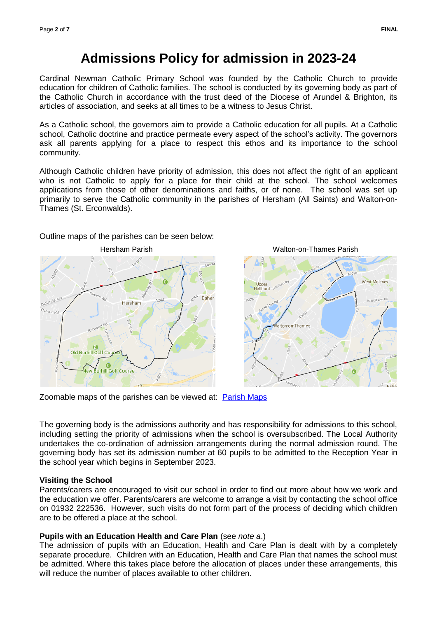## **Admissions Policy for admission in 2023-24**

Cardinal Newman Catholic Primary School was founded by the Catholic Church to provide education for children of Catholic families. The school is conducted by its governing body as part of the Catholic Church in accordance with the trust deed of the Diocese of Arundel & Brighton, its articles of association, and seeks at all times to be a witness to Jesus Christ.

As a Catholic school, the governors aim to provide a Catholic education for all pupils. At a Catholic school, Catholic doctrine and practice permeate every aspect of the school's activity. The governors ask all parents applying for a place to respect this ethos and its importance to the school community.

Although Catholic children have priority of admission, this does not affect the right of an applicant who is not Catholic to apply for a place for their child at the school. The school welcomes applications from those of other denominations and faiths, or of none. The school was set up primarily to serve the Catholic community in the parishes of Hersham (All Saints) and Walton-on-Thames (St. Erconwalds).

#### Outline maps of the parishes can be seen below:





Zoomable maps of the parishes can be viewed at: [Parish Maps](http://www.abdiocese.org.uk/education/find-a-school)

The governing body is the admissions authority and has responsibility for admissions to this school, including setting the priority of admissions when the school is oversubscribed. The Local Authority undertakes the co-ordination of admission arrangements during the normal admission round. The governing body has set its admission number at 60 pupils to be admitted to the Reception Year in the school year which begins in September 2023.

#### **Visiting the School**

Parents/carers are encouraged to visit our school in order to find out more about how we work and the education we offer. Parents/carers are welcome to arrange a visit by contacting the school office on 01932 222536. However, such visits do not form part of the process of deciding which children are to be offered a place at the school.

#### **Pupils with an Education Health and Care Plan** (see *note a*.)

The admission of pupils with an Education, Health and Care Plan is dealt with by a completely separate procedure. Children with an Education, Health and Care Plan that names the school must be admitted. Where this takes place before the allocation of places under these arrangements, this will reduce the number of places available to other children.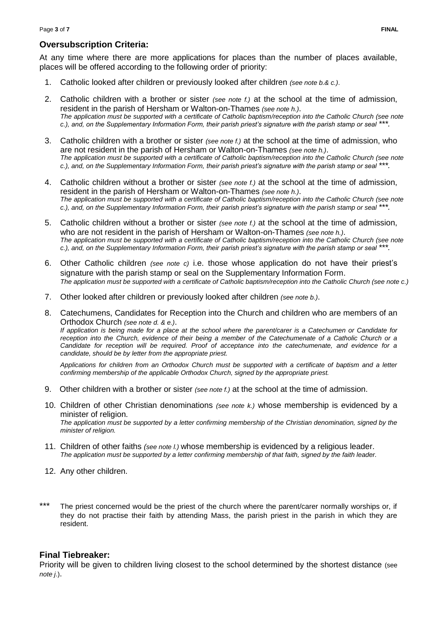#### **Oversubscription Criteria:**

At any time where there are more applications for places than the number of places available, places will be offered according to the following order of priority:

- 1. Catholic looked after children or previously looked after children *(see note b.& c.)*.
- 2. Catholic children with a brother or sister *(see note f.)* at the school at the time of admission, resident in the parish of Hersham or Walton-on-Thames *(see note h.)*. *The application must be supported with a certificate of Catholic baptism/reception into the Catholic Church (see note c.), and, on the Supplementary Information Form, their parish priest's signature with the parish stamp or seal \*\*\*.*
- 3. Catholic children with a brother or sister *(see note f.)* at the school at the time of admission, who are not resident in the parish of Hersham or Walton-on-Thames *(see note h.)*. *The application must be supported with a certificate of Catholic baptism/reception into the Catholic Church (see note c.), and, on the Supplementary Information Form, their parish priest's signature with the parish stamp or seal \*\*\*.*
- 4. Catholic children without a brother or sister *(see note f.)* at the school at the time of admission, resident in the parish of Hersham or Walton-on-Thames *(see note h.)*. *The application must be supported with a certificate of Catholic baptism/reception into the Catholic Church (see note c.), and, on the Supplementary Information Form, their parish priest's signature with the parish stamp or seal \*\*\*.*
- 5. Catholic children without a brother or sister *(see note f.)* at the school at the time of admission, who are not resident in the parish of Hersham or Walton-on-Thames *(see note h.)*. *The application must be supported with a certificate of Catholic baptism/reception into the Catholic Church (see note c.), and, on the Supplementary Information Form, their parish priest's signature with the parish stamp or seal \*\*\*.*
- 6. Other Catholic children *(see note c)* i.e. those whose application do not have their priest's signature with the parish stamp or seal on the Supplementary Information Form. *The application must be supported with a certificate of Catholic baptism/reception into the Catholic Church (see note c.)*
- 7. Other looked after children or previously looked after children *(see note b.)*.
- 8. Catechumens, Candidates for Reception into the Church and children who are members of an Orthodox Church *(see note d. & e.)*. *If application is being made for a place at the school where the parent/carer is a Catechumen or Candidate for reception into the Church, evidence of their being a member of the Catechumenate of a Catholic Church or a Candidate for reception will be required. Proof of acceptance into the catechumenate, and evidence for a candidate, should be by letter from the appropriate priest.*

*Applications for children from an Orthodox Church must be supported with a certificate of baptism and a letter confirming membership of the applicable Orthodox Church, signed by the appropriate priest.*

- 9. Other children with a brother or sister *(see note f.)* at the school at the time of admission.
- 10. Children of other Christian denominations *(see note k.)* whose membership is evidenced by a minister of religion. *The application must be supported by a letter confirming membership of the Christian denomination, signed by the minister of religion.*
- 11. Children of other faiths *(see note l.)* whose membership is evidenced by a religious leader. *The application must be supported by a letter confirming membership of that faith, signed by the faith leader.*
- 12. Any other children.
- \*\*\* The priest concerned would be the priest of the church where the parent/carer normally worships or, if they do not practise their faith by attending Mass, the parish priest in the parish in which they are resident.

#### **Final Tiebreaker:**

Priority will be given to children living closest to the school determined by the shortest distance (see *note j*.).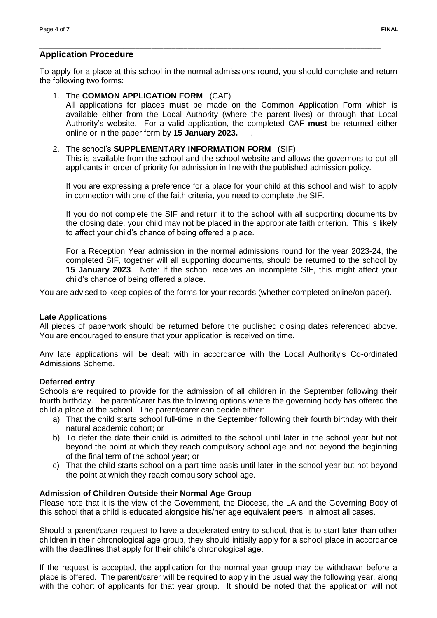#### **Application Procedure**

To apply for a place at this school in the normal admissions round, you should complete and return the following two forms:

*\_\_\_\_\_\_\_\_\_\_\_\_\_\_\_\_\_\_\_\_\_\_\_\_\_\_\_\_\_\_\_\_\_\_\_\_\_\_\_\_\_\_\_\_\_\_\_\_\_\_\_\_\_\_\_\_\_\_\_\_\_\_\_\_\_\_\_\_\_\_\_\_\_\_\_\_\_\_\_\_\_\_\_\_\_*

#### 1. The **COMMON APPLICATION FORM** (CAF)

All applications for places **must** be made on the Common Application Form which is available either from the Local Authority (where the parent lives) or through that Local Authority's website. For a valid application, the completed CAF **must** be returned either online or in the paper form by **15 January 2023.** .

#### 2. The school's **SUPPLEMENTARY INFORMATION FORM** (SIF)

This is available from the school and the school website and allows the governors to put all applicants in order of priority for admission in line with the published admission policy.

If you are expressing a preference for a place for your child at this school and wish to apply in connection with one of the faith criteria, you need to complete the SIF.

If you do not complete the SIF and return it to the school with all supporting documents by the closing date, your child may not be placed in the appropriate faith criterion. This is likely to affect your child's chance of being offered a place.

For a Reception Year admission in the normal admissions round for the year 2023-24, the completed SIF, together will all supporting documents, should be returned to the school by **15 January 2023**. Note: If the school receives an incomplete SIF, this might affect your child's chance of being offered a place.

You are advised to keep copies of the forms for your records (whether completed online/on paper).

#### **Late Applications**

All pieces of paperwork should be returned before the published closing dates referenced above. You are encouraged to ensure that your application is received on time.

Any late applications will be dealt with in accordance with the Local Authority's Co-ordinated Admissions Scheme.

#### **Deferred entry**

Schools are required to provide for the admission of all children in the September following their fourth birthday. The parent/carer has the following options where the governing body has offered the child a place at the school. The parent/carer can decide either:

- a) That the child starts school full-time in the September following their fourth birthday with their natural academic cohort; or
- b) To defer the date their child is admitted to the school until later in the school year but not beyond the point at which they reach compulsory school age and not beyond the beginning of the final term of the school year; or
- c) That the child starts school on a part-time basis until later in the school year but not beyond the point at which they reach compulsory school age.

#### **Admission of Children Outside their Normal Age Group**

Please note that it is the view of the Government, the Diocese, the LA and the Governing Body of this school that a child is educated alongside his/her age equivalent peers, in almost all cases.

Should a parent/carer request to have a decelerated entry to school, that is to start later than other children in their chronological age group, they should initially apply for a school place in accordance with the deadlines that apply for their child's chronological age.

If the request is accepted, the application for the normal year group may be withdrawn before a place is offered. The parent/carer will be required to apply in the usual way the following year, along with the cohort of applicants for that year group. It should be noted that the application will not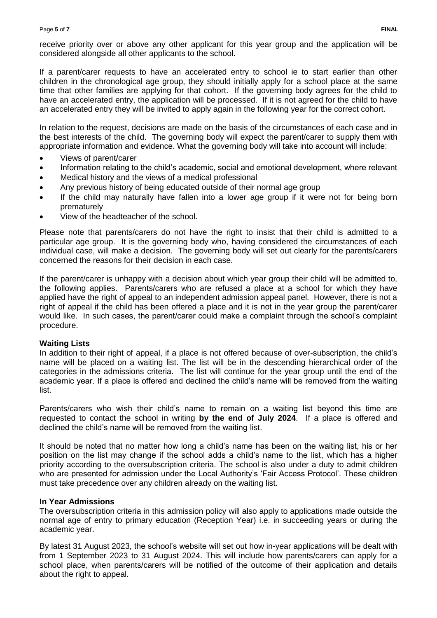receive priority over or above any other applicant for this year group and the application will be considered alongside all other applicants to the school.

If a parent/carer requests to have an accelerated entry to school ie to start earlier than other children in the chronological age group, they should initially apply for a school place at the same time that other families are applying for that cohort. If the governing body agrees for the child to have an accelerated entry, the application will be processed. If it is not agreed for the child to have an accelerated entry they will be invited to apply again in the following year for the correct cohort.

In relation to the request, decisions are made on the basis of the circumstances of each case and in the best interests of the child. The governing body will expect the parent/carer to supply them with appropriate information and evidence. What the governing body will take into account will include:

- Views of parent/carer
- Information relating to the child's academic, social and emotional development, where relevant
- Medical history and the views of a medical professional
- Any previous history of being educated outside of their normal age group
- If the child may naturally have fallen into a lower age group if it were not for being born prematurely
- View of the headteacher of the school.

Please note that parents/carers do not have the right to insist that their child is admitted to a particular age group. It is the governing body who, having considered the circumstances of each individual case, will make a decision. The governing body will set out clearly for the parents/carers concerned the reasons for their decision in each case.

If the parent/carer is unhappy with a decision about which year group their child will be admitted to, the following applies. Parents/carers who are refused a place at a school for which they have applied have the right of appeal to an independent admission appeal panel. However, there is not a right of appeal if the child has been offered a place and it is not in the year group the parent/carer would like. In such cases, the parent/carer could make a complaint through the school's complaint procedure.

#### **Waiting Lists**

In addition to their right of appeal, if a place is not offered because of over-subscription, the child's name will be placed on a waiting list. The list will be in the descending hierarchical order of the categories in the admissions criteria. The list will continue for the year group until the end of the academic year. If a place is offered and declined the child's name will be removed from the waiting list.

Parents/carers who wish their child's name to remain on a waiting list beyond this time are requested to contact the school in writing **by the end of July 2024**. If a place is offered and declined the child's name will be removed from the waiting list.

It should be noted that no matter how long a child's name has been on the waiting list, his or her position on the list may change if the school adds a child's name to the list, which has a higher priority according to the oversubscription criteria. The school is also under a duty to admit children who are presented for admission under the Local Authority's 'Fair Access Protocol'. These children must take precedence over any children already on the waiting list.

#### **In Year Admissions**

The oversubscription criteria in this admission policy will also apply to applications made outside the normal age of entry to primary education (Reception Year) i.e. in succeeding years or during the academic year.

By latest 31 August 2023, the school's website will set out how in-year applications will be dealt with from 1 September 2023 to 31 August 2024. This will include how parents/carers can apply for a school place, when parents/carers will be notified of the outcome of their application and details about the right to appeal.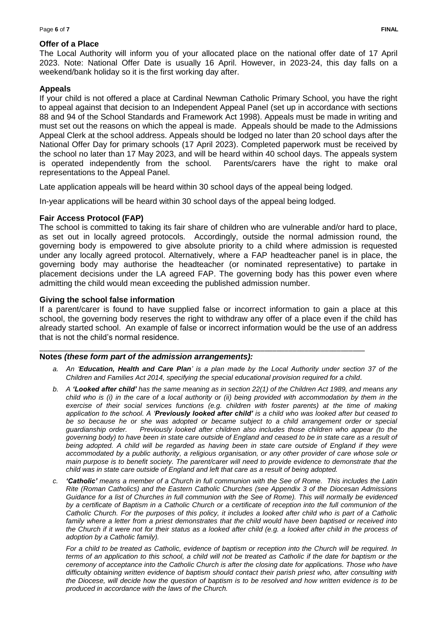#### **Offer of a Place**

The Local Authority will inform you of your allocated place on the national offer date of 17 April 2023. Note: National Offer Date is usually 16 April. However, in 2023-24, this day falls on a weekend/bank holiday so it is the first working day after.

#### **Appeals**

If your child is not offered a place at Cardinal Newman Catholic Primary School, you have the right to appeal against that decision to an Independent Appeal Panel (set up in accordance with sections 88 and 94 of the School Standards and Framework Act 1998). Appeals must be made in writing and must set out the reasons on which the appeal is made. Appeals should be made to the Admissions Appeal Clerk at the school address. Appeals should be lodged no later than 20 school days after the National Offer Day for primary schools (17 April 2023). Completed paperwork must be received by the school no later than 17 May 2023, and will be heard within 40 school days. The appeals system is operated independently from the school. Parents/carers have the right to make oral representations to the Appeal Panel.

Late application appeals will be heard within 30 school days of the appeal being lodged.

In-year applications will be heard within 30 school days of the appeal being lodged.

#### **Fair Access Protocol (FAP)**

The school is committed to taking its fair share of children who are vulnerable and/or hard to place, as set out in locally agreed protocols. Accordingly, outside the normal admission round, the governing body is empowered to give absolute priority to a child where admission is requested under any locally agreed protocol. Alternatively, where a FAP headteacher panel is in place, the governing body may authorise the headteacher (or nominated representative) to partake in placement decisions under the LA agreed FAP. The governing body has this power even where admitting the child would mean exceeding the published admission number.

#### **Giving the school false information**

If a parent/carer is found to have supplied false or incorrect information to gain a place at this school, the governing body reserves the right to withdraw any offer of a place even if the child has already started school. An example of false or incorrect information would be the use of an address that is not the child's normal residence.

#### \_\_\_\_\_\_\_\_\_\_\_\_\_\_\_\_\_\_\_\_\_\_\_\_\_\_\_\_\_\_\_\_\_\_\_\_\_\_\_\_\_\_\_\_\_\_\_\_\_\_\_\_\_\_\_\_\_\_\_\_\_\_\_\_\_\_\_\_\_\_\_\_\_\_\_\_\_\_\_\_\_ **Notes** *(these form part of the admission arrangements):*

- *a. An 'Education, Health and Care Plan' is a plan made by the Local Authority under section 37 of the Children and Families Act 2014, specifying the special educational provision required for a child.*
- *b. A 'Looked after child' has the same meaning as in section 22(1) of the Children Act 1989, and means any child who is (i) in the care of a local authority or (ii) being provided with accommodation by them in the exercise of their social services functions (e.g. children with foster parents) at the time of making application to the school. A 'Previously looked after child' is a child who was looked after but ceased to be so because he or she was adopted or became subject to a child arrangement order or special guardianship order. Previously looked after children also includes those children who appear (to the governing body) to have been in state care outside of England and ceased to be in state care as a result of being adopted. A child will be regarded as having been in state care outside of England if they were accommodated by a public authority, a religious organisation, or any other provider of care whose sole or main purpose is to benefit society. The parent/carer will need to provide evidence to demonstrate that the child was in state care outside of England and left that care as a result of being adopted.*
- *c. 'Catholic' means a member of a Church in full communion with the See of Rome. This includes the Latin Rite (Roman Catholics) and the Eastern Catholic Churches (see Appendix 3 of the Diocesan Admissions Guidance for a list of Churches in full communion with the See of Rome). This will normally be evidenced by a certificate of Baptism in a Catholic Church or a certificate of reception into the full communion of the Catholic Church. For the purposes of this policy, it includes a looked after child who is part of a Catholic family where a letter from a priest demonstrates that the child would have been baptised or received into the Church if it were not for their status as a looked after child (e.g. a looked after child in the process of adoption by a Catholic family).*

*For a child to be treated as Catholic, evidence of baptism or reception into the Church will be required. In terms of an application to this school, a child will not be treated as Catholic if the date for baptism or the ceremony of acceptance into the Catholic Church is after the closing date for applications. Those who have difficulty obtaining written evidence of baptism should contact their parish priest who, after consulting with the Diocese, will decide how the question of baptism is to be resolved and how written evidence is to be produced in accordance with the laws of the Church.*